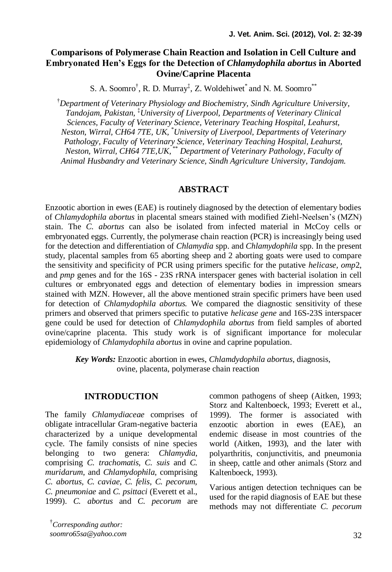# **Comparisons of Polymerase Chain Reaction and Isolation in Cell Culture and Embryonated Hen's Eggs for the Detection of** *Chlamydophila abortus* **in Aborted Ovine/Caprine Placenta**

S. A. Soomro<sup>†</sup>, R. D. Murray<sup>‡</sup>, Z. Woldehiwet<sup>\*</sup> and N. M. Soomro<sup>\*\*</sup>

†*Department of Veterinary Physiology and Biochemistry, Sindh Agriculture University, Tandojam, Pakistan,* ‡*University of Liverpool, Departments of Veterinary Clinical Sciences, Faculty of Veterinary Science, Veterinary Teaching Hospital, Leahurst, Neston, Wirral, CH64 7TE, UK,* \**University of Liverpool, Departments of Veterinary Pathology, Faculty of Veterinary Science, Veterinary Teaching Hospital, Leahurst, Neston, Wirral, CH64 7TE,UK,* \*\* *Department of Veterinary Pathology, Faculty of Animal Husbandry and Veterinary Science, Sindh Agriculture University, Tandojam.* 

### **ABSTRACT**

Enzootic abortion in ewes (EAE) is routinely diagnosed by the detection of elementary bodies of *Chlamydophila abortus* in placental smears stained with modified Ziehl-Neelsen's (MZN) stain. The *C. abortus* can also be isolated from infected material in McCoy cells or embryonated eggs. Currently, the polymerase chain reaction (PCR) is increasingly being used for the detection and differentiation of *Chlamydia* spp. and *Chlamydophila* spp. In the present study, placental samples from 65 aborting sheep and 2 aborting goats were used to compare the sensitivity and specificity of PCR using primers specific for the putative *helicase, omp*2, and *pmp* genes and for the 16S - 23S rRNA interspacer genes with bacterial isolation in cell cultures or embryonated eggs and detection of elementary bodies in impression smears stained with MZN. However, all the above mentioned strain specific primers have been used for detection of *Chlamydophila abortus.* We compared the diagnostic sensitivity of these primers and observed that primers specific to putative *helicase gene* and 16S-23S interspacer gene could be used for detection of *Chlamydophila abortus* from field samples of aborted ovine/caprine placenta. This study work is of significant importance for molecular epidemiology of *Chlamydophila abortus* in ovine and caprine population.

*Key Words:* Enzootic abortion in ewes, *Chlamdydophila abortus*, diagnosis, ovine, placenta, polymerase chain reaction

### **INTRODUCTION**

The family *Chlamydiaceae* comprises of obligate intracellular Gram-negative bacteria characterized by a unique developmental cycle. The family consists of nine species belonging to two genera: *Chlamydia*, comprising *C. trachomatis, C. suis* and *C. muridarum*, and *Chlamydophila*, comprising *C. abortus, C. caviae, C. felis, C. pecorum, C. pneumoniae* and *C. psittaci* (Everett et al., 1999). *C. abortus* and *C. pecorum* are common pathogens of sheep (Aitken, 1993; Storz and Kaltenboeck, 1993; Everett et al., 1999). The former is associated with enzootic abortion in ewes (EAE), an endemic disease in most countries of the world (Aitken, 1993), and the later with polyarthritis, conjunctivitis, and pneumonia in sheep, cattle and other animals (Storz and Kaltenboeck, 1993).

Various antigen detection techniques can be used for the rapid diagnosis of EAE but these methods may not differentiate *C. pecorum*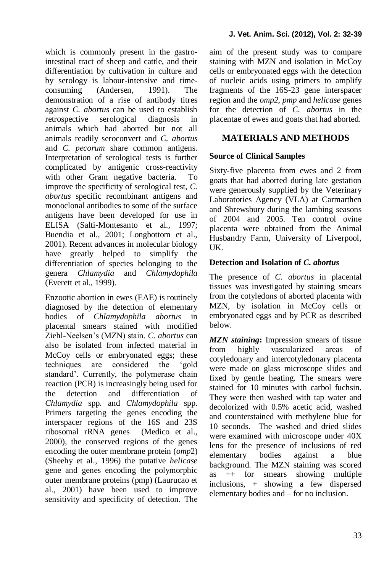which is commonly present in the gastrointestinal tract of sheep and cattle, and their differentiation by cultivation in culture and by serology is labour-intensive and timeconsuming (Andersen, 1991). The demonstration of a rise of antibody titres against *C. abortus* can be used to establish retrospective serological diagnosis in animals which had aborted but not all animals readily seroconvert and *C. abortus* and *C. pecorum* share common antigens. Interpretation of serological tests is further complicated by antigenic cross-reactivity with other Gram negative bacteria. To improve the specificity of serological test, *C. abortus* specific recombinant antigens and monoclonal antibodies to some of the surface antigens have been developed for use in ELISA (Salti-Montesanto et al., 1997; Buendia et al., 2001; Longbottom et al., 2001). Recent advances in molecular biology have greatly helped to simplify the differentiation of species belonging to the genera *Chlamydia* and *Chlamydophila*  (Everett et al., 1999).

Enzootic abortion in ewes (EAE) is routinely diagnosed by the detection of elementary bodies of *Chlamydophila abortus* in placental smears stained with modified Ziehl-Neelsen's (MZN) stain. *C. abortus* can also be isolated from infected material in McCoy cells or embryonated eggs; these techniques are considered the 'gold standard'. Currently, the polymerase chain reaction (PCR) is increasingly being used for the detection and differentiation of *Chlamydia* spp. and *Chlamydophila* spp. Primers targeting the genes encoding the interspacer regions of the 16S and 23S ribosomal rRNA genes (Medico et al., 2000), the conserved regions of the genes encoding the outer membrane protein (*omp*2) (Sheehy et al., 1996) the putative *helicase*  gene and genes encoding the polymorphic outer membrane proteins (pmp) (Laurucao et al., 2001) have been used to improve sensitivity and specificity of detection. The aim of the present study was to compare staining with MZN and isolation in McCoy cells or embryonated eggs with the detection of nucleic acids using primers to amplify fragments of the 16S-23 gene interspacer region and the *omp2, pmp* and *helicase* genes for the detection of *C. abortus* in the placentae of ewes and goats that had aborted.

# **MATERIALS AND METHODS**

## **Source of Clinical Samples**

Sixty-five placenta from ewes and 2 from goats that had aborted during late gestation were generously supplied by the Veterinary Laboratories Agency (VLA) at Carmarthen and Shrewsbury during the lambing seasons of 2004 and 2005. Ten control ovine placenta were obtained from the Animal Husbandry Farm, University of Liverpool, UK.

### **Detection and Isolation of** *C. abortus*

The presence of *C. abortus* in placental tissues was investigated by staining smears from the cotyledons of aborted placenta with MZN, by isolation in McCoy cells or embryonated eggs and by PCR as described below.

*MZN staining***:** Impression smears of tissue from highly vascularized areas of cotyledonary and intercotyledonary placenta were made on glass microscope slides and fixed by gentle heating. The smears were stained for 10 minutes with carbol fuchsin. They were then washed with tap water and decolorized with 0.5% acetic acid, washed and counterstained with methylene blue for 10 seconds. The washed and dried slides were examined with microscope under 40X lens for the presence of inclusions of red elementary bodies against a blue background. The MZN staining was scored as ++ for smears showing multiple inclusions, + showing a few dispersed elementary bodies and – for no inclusion.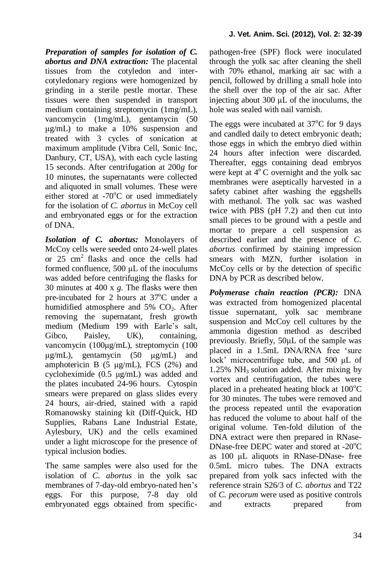*Preparation of samples for isolation of C. abortus and DNA extraction:* The placental tissues from the cotyledon and intercotyledonary regions were homogenized by grinding in a sterile pestle mortar. These tissues were then suspended in transport medium containing streptomycin (1mg/mL), vancomycin (1mg/mL), gentamycin (50 μg/mL) to make a 10% suspension and treated with 3 cycles of sonication at maximum amplitude (Vibra Cell, Sonic Inc, Danbury, CT, USA), with each cycle lasting 15 seconds. After centrifugation at 200*g* for 10 minutes, the supernatants were collected and aliquoted in small volumes. These were either stored at  $-70^{\circ}$ C or used immediately for the isolation of *C. abortus* in McCoy cell and embryonated eggs or for the extraction of DNA.

*Isolation of C. abortus:* Monolayers of McCoy cells were seeded onto 24-well plates or  $25 \text{ cm}^2$  flasks and once the cells had formed confluence, 500 μL of the inoculums was added before centrifuging the flasks for 30 minutes at 400 x *g*. The flasks were then pre-incubated for 2 hours at  $37^{\circ}$ C under a humidified atmosphere and  $5\%$  CO<sub>2</sub>. After removing the supernatant, fresh growth medium (Medium 199 with Earle's salt, Gibco, Paisley, UK), containing, vancomycin (100μg/mL), streptomycin (100 μg/mL), gentamycin (50 μg/mL) and amphotericin B  $(5 \mu g/mL)$ , FCS  $(2\%)$  and cycloheximide (0.5 μg/mL) was added and the plates incubated 24-96 hours. Cytospin smears were prepared on glass slides every 24 hours, air-dried, stained with a rapid Romanowsky staining kit (Diff-Quick, HD Supplies, Rabans Lane Industrial Estate, Aylesbury, UK) and the cells examined under a light microscope for the presence of typical inclusion bodies.

The same samples were also used for the isolation of *C. abortus* in the yolk sac membranes of 7-day-old embryo-nated hen's eggs. For this purpose, 7-8 day old embryonated eggs obtained from specificpathogen-free (SPF) flock were inoculated through the yolk sac after cleaning the shell with 70% ethanol, marking air sac with a pencil, followed by drilling a small hole into the shell over the top of the air sac. After injecting about 300 μL of the inoculums, the hole was sealed with nail varnish.

The eggs were incubated at  $37^{\circ}$ C for 9 days and candled daily to detect embryonic death; those eggs in which the embryo died within 24 hours after infection were discarded. Thereafter, eggs containing dead embryos were kept at  $4^{\circ}$ C overnight and the yolk sac membranes were aseptically harvested in a safety cabinet after washing the eggshells with methanol. The yolk sac was washed twice with PBS (pH 7.2) and then cut into small pieces to be ground with a pestle and mortar to prepare a cell suspension as described earlier and the presence of *C. abortus* confirmed by staining impression smears with MZN, further isolation in McCoy cells or by the detection of specific DNA by PCR as described below.

*Polymerase chain reaction (PCR):* DNA was extracted from homogenized placental tissue supernatant, yolk sac membrane suspension and McCoy cell cultures by the ammonia digestion method as described previously. Briefly, 50μL of the sample was placed in a 1.5mL DNA/RNA free 'sure lock' microcentrifuge tube, and 500 μL of  $1.25\%$  NH<sub>3</sub> solution added. After mixing by vortex and centrifugation, the tubes were placed in a preheated heating block at  $100^{\circ}$ C for 30 minutes. The tubes were removed and the process repeated until the evaporation has reduced the volume to about half of the original volume. Ten-fold dilution of the DNA extract were then prepared in RNase-DNase-free DEPC water and stored at  $-20^{\circ}$ C as 100 μL aliquots in RNase-DNase- free 0.5mL micro tubes. The DNA extracts prepared from yolk sacs infected with the reference strain S26/3 of *C. abortus* and T22 of *C. pecorum* were used as positive controls and extracts prepared from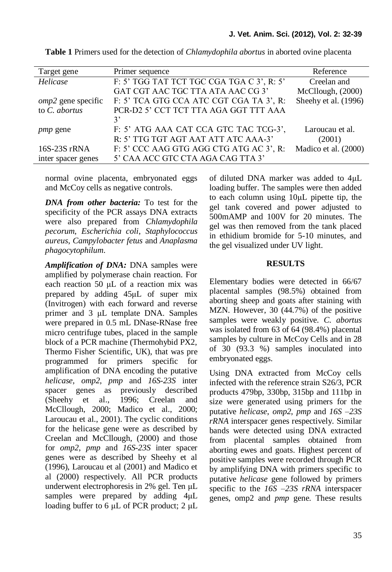| Target gene          | Primer sequence                           | Reference            |
|----------------------|-------------------------------------------|----------------------|
| Helicase             | F: 5' TGG TAT TCT TGC CGA TGA C 3', R: 5' | Creelan and          |
|                      | GAT CGT AAC TGC TTA ATA AAC CG 3'         | McCllough, (2000)    |
| $omp2$ gene specific | F: 5' TCA GTG CCA ATC CGT CGA TA 3', R:   | Sheehy et al. (1996) |
| to C. abortus        | PCR-D2 5' CCT TCT TTA AGA GGT TTT AAA     |                      |
|                      | 3'                                        |                      |
| <i>pmp</i> gene      | F: 5' ATG AAA CAT CCA GTC TAC TCG-3',     | Laroucau et al.      |
|                      | R: 5' TTG TGT AGT AAT ATT ATC AAA-3'      | (2001)               |
| 16S-23S rRNA         | F: 5' CCC AAG GTG AGG CTG ATG AC 3', R:   | Madico et al. (2000) |
| inter spacer genes   | 5' CAA ACC GTC CTA AGA CAG TTA 3'         |                      |

**Table 1** Primers used for the detection of *Chlamydophila abortus* in aborted ovine placenta

normal ovine placenta, embryonated eggs and McCoy cells as negative controls.

*DNA from other bacteria:* To test for the specificity of the PCR assays DNA extracts were also prepared from *Chlamydophila pecorum*, *Escherichia coli*, *Staphylococcus aureus*, *Campylobacter fetus* and *Anaplasma phagocytophilum*.

*Amplification of DNA:* DNA samples were amplified by polymerase chain reaction. For each reaction 50 μL of a reaction mix was prepared by adding 45μL of super mix (Invitrogen) with each forward and reverse primer and 3 μL template DNA. Samples were prepared in 0.5 mL DNase-RNase free micro centrifuge tubes, placed in the sample block of a PCR machine (Thermohybid PX2, Thermo Fisher Scientific, UK), that was pre programmed for primers specific for amplification of DNA encoding the putative *helicase, omp2, pmp* and *16S-23S* inter spacer genes as previously described (Sheehy et al., 1996; Creelan and McCllough, 2000; Madico et al., 2000; Laroucau et al., 2001). The cyclic conditions for the helicase gene were as described by Creelan and McCllough, (2000) and those for *omp2*, *pmp* and *16S-23S* inter spacer genes were as described by Sheehy et al (1996), Laroucau et al (2001) and Madico et al (2000) respectively. All PCR products underwent electrophoresis in 2% gel. Ten μL samples were prepared by adding  $4\mu$ L loading buffer to 6 μL of PCR product; 2 μL of diluted DNA marker was added to 4μL loading buffer. The samples were then added to each column using 10μL pipette tip, the gel tank covered and power adjusted to 500mAMP and 100V for 20 minutes. The gel was then removed from the tank placed in ethidium bromide for 5-10 minutes, and the gel visualized under UV light.

#### **RESULTS**

Elementary bodies were detected in 66/67 placental samples (98.5%) obtained from aborting sheep and goats after staining with MZN. However, 30 (44.7%) of the positive samples were weakly positive. *C. abortus* was isolated from 63 of 64 (98.4%) placental samples by culture in McCoy Cells and in 28 of 30 (93.3 %) samples inoculated into embryonated eggs.

Using DNA extracted from McCoy cells infected with the reference strain S26/3*,* PCR products 479bp, 330bp, 315bp and 111bp in size were generated using primers for the putative *helicase*, *omp2*, *pmp* and *16S –23S rRNA* interspacer genes respectively. Similar bands were detected using DNA extracted from placental samples obtained from aborting ewes and goats. Highest percent of positive samples were recorded through PCR by amplifying DNA with primers specific to putative *helicase* gene followed by primers specific to the *16S –23S rRNA* interspacer genes, omp2 and *pmp* gene. These results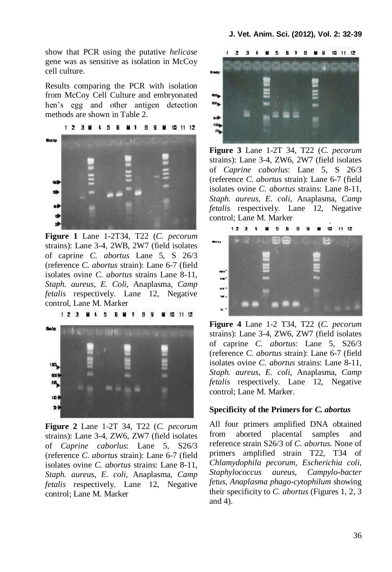show that PCR using the putative *helicase* gene was as sensitive as isolation in McCoy cell culture.

Results comparing the PCR with isolation from McCoy Cell Culture and embryonated hen's egg and other antigen detection methods are shown in Table 2.



**Figure 1** Lane 1-2T34, T22 (*C. pecorum* strains): Lane 3-4, 2WB, 2W7 (field isolates of caprine *C. abortus* Lane 5, S 26/3 (reference *C. abortus* strain): Lane 6-7 (field isolates ovine *C. abortus* strains Lane 8-11, *Staph. aureus*, *E. Coli*, Anaplasma, *Camp fetalis* respectively. Lane 12, Negative control, Lane M. Marker

**M 4 5 6 M 1**  $1, 7, 3$ 89 M 10 11 12



**Figure 2** Lane 1-2T 34, T22 (*C. pecorum* strains): Lane 3-4, ZW6, ZW7 (field isolates of *Caprine caborlus*: Lane 5, S26/3 (reference *C. abortus* strain): Lane 6-7 (field isolates ovine *C. abortus* strains: Lane 8-11, *Staph. aureus*, *E. coli*, Anaplasma, *Camp fetalis* respectively. Lane 12, Negative control; Lane M. Marker



**Figure 3** Lane 1-2T 34, T22 (*C. pecorum* strains): Lane 3-4, ZW6, 2W7 (field isolates of *Caprine caborlus*: Lane 5, S 26/3 (reference *C. abortus* strain): Lane 6-7 (field isolates ovine *C. abortus* strains: Lane 8-11, *Staph. aureus*, *E. coli*, Anaplasma, *Camp fetalis* respectively. Lane 12, Negative control; Lane M. Marker

 $123.1$ . . . . . 10 11 12 --w. ú. me w.  $\overline{\phantom{a}}$ 

**Figure 4** Lane 1-2 T34, T22 (*C. pecorum* strains): Lane 3-4, ZW6, ZW7 (field isolates of caprine *C. abortus*: Lane 5, S26/3 (reference *C. abortus* strain): Lane 6-7 (field isolates ovine *C. abortus* strains: Lane 8-11, *Staph. aureus*, *E. coli*, Anaplasma, *Camp fetalis* respectively. Lane 12, Negative control; Lane M. Marker.

#### **Specificity of the Primers for** *C. abortus*

All four primers amplified DNA obtained from aborted placental samples and reference strain S26/3 of *C. abortus.* None of primers amplified strain T22, T34 of *Chlamydophila pecorum*, *Escherichia coli*, *Staphylococcus aureus*, *Campylo-bacter fetus*, *Anaplasma phago-cytophilum* showing their specificity to *C. abortus* (Figures 1, 2, 3 and 4).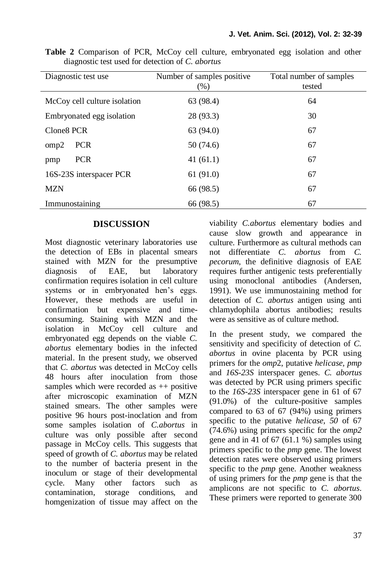| Diagnostic test use          | Number of samples positive.<br>(% ) | Total number of samples<br>tested |
|------------------------------|-------------------------------------|-----------------------------------|
| McCoy cell culture isolation | 63 (98.4)                           | 64                                |
| Embryonated egg isolation    | 28 (93.3)                           | 30                                |
| Clone <sub>8</sub> PCR       | 63 (94.0)                           | 67                                |
| <b>PCR</b><br>omp2           | 50 (74.6)                           | 67                                |
| <b>PCR</b><br>pmp            | 41(61.1)                            | 67                                |
| 16S-23S interspacer PCR      | 61(91.0)                            | 67                                |
| <b>MZN</b>                   | 66 (98.5)                           | 67                                |
| Immunostaining               | 66 (98.5)                           | 67                                |

**Table 2** Comparison of PCR, McCoy cell culture, embryonated egg isolation and other diagnostic test used for detection of *C. abortus*

#### **DISCUSSION**

Most diagnostic veterinary laboratories use the detection of EBs in placental smears stained with MZN for the presumptive diagnosis of EAE, but laboratory confirmation requires isolation in cell culture systems or in embryonated hen's eggs. However, these methods are useful in confirmation but expensive and timeconsuming. Staining with MZN and the isolation in McCoy cell culture and embryonated egg depends on the viable *C. abortus* elementary bodies in the infected material. In the present study, we observed that *C. abortus* was detected in McCoy cells 48 hours after inoculation from those samples which were recorded as  $++$  positive after microscopic examination of MZN stained smears. The other samples were positive 96 hours post-inoclation and from some samples isolation of *C.abortus* in culture was only possible after second passage in McCoy cells. This suggests that speed of growth of *C. abortus* may be related to the number of bacteria present in the inoculum or stage of their developmental cycle. Many other factors such as contamination, storage conditions, and homgenization of tissue may affect on the viability *C.abortus* elementary bodies and cause slow growth and appearance in culture. Furthermore as cultural methods can not differentiate *C. abortus* from *C. pecorum*, the definitive diagnosis of EAE requires further antigenic tests preferentially using monoclonal antibodies (Andersen, 1991). We use immunostaining method for detection of *C. abortus* antigen using anti chlamydophila abortus antibodies; results were as sensitive as of culture method.

In the present study, we compared the sensitivity and specificity of detection of *C. abortus* in ovine placenta by PCR using primers for the *omp*2, putative *helicase, pmp*  and *16S-23S* interspacer genes. *C. abortus* was detected by PCR using primers specific to the *16S-23S* interspacer gene in 61 of 67 (91.0%) of the culture-positive samples compared to 63 of 67 (94%) using primers specific to the putative *helicase, 50* of 67 (74.6%) using primers specific for the *omp2*  gene and in 41 of 67 (61.1 %) samples using primers specific to the *pmp* gene. The lowest detection rates were observed using primers specific to the *pmp* gene. Another weakness of using primers for the *pmp* gene is that the amplicons are not specific to *C. abortus*. These primers were reported to generate 300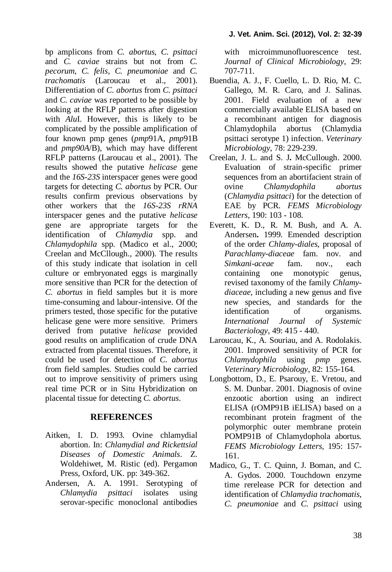bp amplicons from *C. abortus*, *C. psittaci*  and *C. caviae* strains but not from *C. pecorum*, *C. felis*, *C. pneumoniae* and *C. trachomatis* (Laroucau et al., 2001). Differentiation of *C. abortus* from *C. psittaci* and *C. caviae* was reported to be possible by looking at the RFLP patterns after digestion with *Alu*I. However, this is likely to be complicated by the possible amplification of four known pmp genes (*pmp*91A, *pmp*91B and *pmp90A*/B), which may have different RFLP patterns (Laroucau et al., 2001). The results showed the putative *helicase* gene and the *16S-23S* interspacer genes were good targets for detecting *C. abortus* by PCR. Our results confirm previous observations by other workers that the *16S-23S rRNA*  interspacer genes and the putative *helicase* gene are appropriate targets for the identification of *Chlamydia* spp. and *Chlamydophila* spp. (Madico et al., 2000; Creelan and McCllough., 2000). The results of this study indicate that isolation in cell culture or embryonated eggs is marginally more sensitive than PCR for the detection of *C. abortus* in field samples but it is more time-consuming and labour-intensive. Of the primers tested, those specific for the putative helicase gene were more sensitive. Primers derived from putative *helicase* provided good results on amplification of crude DNA extracted from placental tissues. Therefore, it could be used for detection of *C. abortus* from field samples. Studies could be carried out to improve sensitivity of primers using real time PCR or in Situ Hybridization on placental tissue for detecting *C. abortus*.

# **REFERENCES**

- Aitken, I. D. 1993. Ovine chlamydial abortion. In: *Chlamydial and Rickettsial Diseases of Domestic Animals*. Z. Woldehiwet, M. Ristic (ed). Pergamon Press, Oxford, UK. pp: 349-362.
- Andersen, A. A. 1991. Serotyping of *Chlamydia psittaci* isolates using serovar-specific monoclonal antibodies

with microimmunofluorescence test. *Journal of Clinical Microbiology*, 29: 707-711.

- Buendia, A. J., F. Cuello, L. D. Rio, M. C. Gallego, M. R. Caro, and J. Salinas. 2001. Field evaluation of a new commercially available ELISA based on a recombinant antigen for diagnosis Chlamydophila abortus (Chlamydia psittaci serotype 1) infection. *Veterinary Microbiology*, 78: 229-239.
- Creelan, J. L. and S. J**.** McCullough. 2000. Evaluation of strain-specific primer sequences from an abortifacient strain of ovine *Chlamydophila abortus* (*Chlamydia psittaci*) for the detection of EAE by PCR. *FEMS Microbiology Letters*, 190: 103 - 108.
- Everett, K. D., R. M. Bush, and A. A. Andersen**.** 1999. Emended description of the order *Chlamy-diales*, proposal of *Parachlamy-diaceae* fam. nov. and *Simkani-aceae* fam. nov., each containing one monotypic genus, revised taxonomy of the family *Chlamydiaceae*, including a new genus and five new species, and standards for the identification of organisms. *International Journal of Systemic Bacteriology*, 49: 415 - 440.
- Laroucau, K., A. Souriau, and A. Rodolakis. 2001. Improved sensitivity of PCR for *Chlamydophila* using *pmp* genes. *Veterinary Microbiology,* 82: 155-164.
- Longbottom, D., E. Psarouy, E. Vretou, and S. M. Dunbar. 2001. Diagnosis of ovine enzootic abortion using an indirect ELISA (rOMP91B iELISA) based on a recombinant protein fragment of the polymorphic outer membrane protein POMP91B of Chlamydophola abortus. *FEMS Microbiology Letters,* 195: 157- 161.
- Madico, G., T. C. Quinn, J. Boman, and C. A. Gydos. 2000. Touchdown enzyme time rerelease PCR for detection and identification of *Chlamydia trachomatis*, *C. pneumoniae* and *C. psittaci* using